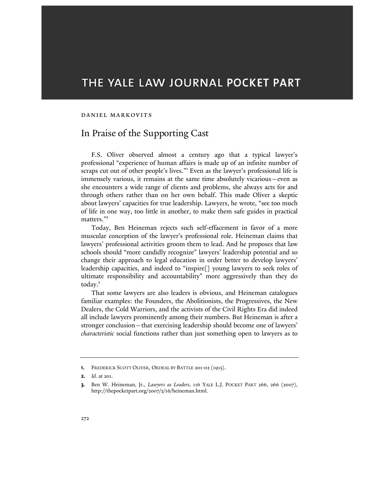# THE YALE LAW JOURNAL POCKET PART

#### Daniel Markovits

## In Praise of the Supporting Cast

F.S. Oliver observed almost a century ago that a typical lawyer's professional "experience of human affairs is made up of an infinite number of scraps cut out of other people's lives."<sup>1</sup> Even as the lawyer's professional life is immensely various, it remains at the same time absolutely vicarious—even as she encounters a wide range of clients and problems, she always acts for and through others rather than on her own behalf. This made Oliver a skeptic about lawyers' capacities for true leadership. Lawyers, he wrote, "see too much of life in one way, too little in another, to make them safe guides in practical matters."<sup>2</sup>

Today, Ben Heineman rejects such self-effacement in favor of a more muscular conception of the lawyer's professional role. Heineman claims that lawyers' professional activities groom them to lead. And he proposes that law schools should "more candidly recognize" lawyers' leadership potential and so change their approach to legal education in order better to develop lawyers' leadership capacities, and indeed to "inspire[] young lawyers to seek roles of ultimate responsibility and accountability" more aggressively than they do today.<sup>3</sup>

That some lawyers are also leaders is obvious, and Heineman catalogues familiar examples: the Founders, the Abolitionists, the Progressives, the New Dealers, the Cold Warriors, and the activists of the Civil Rights Era did indeed all include lawyers prominently among their numbers. But Heineman is after a stronger conclusion—that exercising leadership should become one of lawyers' characteristic social functions rather than just something open to lawyers as to

<sup>1.</sup> FREDERICK SCOTT OLIVER, ORDEAL BY BATTLE 201-02 (1915).

**<sup>2.</sup>** *Id.* at 201.

<sup>3.</sup> Ben W. Heineman, Jr., Lawyers as Leaders, 116 YALE L.J. POCKET PART 266, 266 (2007), http://thepocketpart.org/2007/2/16/heineman.html.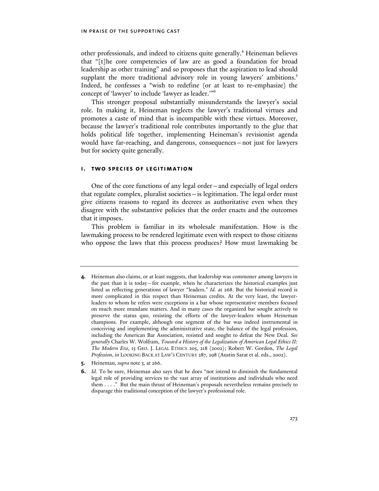other professionals, and indeed to citizens quite generally.<sup>4</sup> Heineman believes that "[t]he core competencies of law are as good a foundation for broad leadership as other training" and so proposes that the aspiration to lead should supplant the more traditional advisory role in young lawyers' ambitions.<sup>5</sup> Indeed, he confesses a "wish to redefine (or at least to re-emphasize) the concept of 'lawyer' to include 'lawyer as leader.'"<sup>6</sup>

This stronger proposal substantially misunderstands the lawyer's social role. In making it, Heineman neglects the lawyer's traditional virtues and promotes a caste of mind that is incompatible with these virtues. Moreover, because the lawyer's traditional role contributes importantly to the glue that holds political life together, implementing Heineman's revisionist agenda would have far-reaching, and dangerous, consequences—not just for lawyers but for society quite generally.

#### i. two species of legitimation

One of the core functions of any legal order—and especially of legal orders that regulate complex, pluralist societies—is legitimation. The legal order must give citizens reasons to regard its decrees as authoritative even when they disagree with the substantive policies that the order enacts and the outcomes that it imposes.

This problem is familiar in its wholesale manifestation. How is the lawmaking process to be rendered legitimate even with respect to those citizens who oppose the laws that this process produces? How must lawmaking be

- 5. Heineman, *supra* note 3, at 266.
- 6. Id. To be sure, Heineman also says that he does "not intend to diminish the fundamental legal role of providing services to the vast array of institutions and individuals who need them . . . ." But the main thrust of Heineman's proposals nevertheless remains precisely to disparage this traditional conception of the lawyer's professional role.

<sup>4.</sup> Heineman also claims, or at least suggests, that leadership was commoner among lawyers in the past than it is today—for example, when he characterizes the historical examples just listed as reflecting generations of lawyer "leaders." Id. at 268. But the historical record is more complicated in this respect than Heineman credits. At the very least, the lawyerleaders to whom he refers were exceptions in a bar whose representative members focused on much more mundane matters. And in many cases the organized bar sought actively to preserve the status quo, resisting the efforts of the lawyer-leaders whom Heineman champions. For example, although one segment of the bar was indeed instrumental in conceiving and implementing the administrative state, the balance of the legal profession, including the American Bar Association, resisted and sought to defeat the New Deal. See generally Charles W. Wolfram, Toward a History of the Legalization of American Legal Ethics II: The Modern Era, 15 GEO. J. LEGAL ETHICS 205, 218 (2002); Robert W. Gordon, The Legal Profession, in LOOKING BACK AT LAW'S CENTURY 287, 298 (Austin Sarat et al. eds., 2002).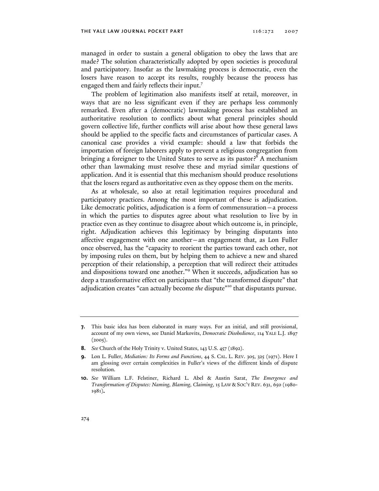managed in order to sustain a general obligation to obey the laws that are made? The solution characteristically adopted by open societies is procedural and participatory. Insofar as the lawmaking process is democratic, even the losers have reason to accept its results, roughly because the process has engaged them and fairly reflects their input.<sup>7</sup>

The problem of legitimation also manifests itself at retail, moreover, in ways that are no less significant even if they are perhaps less commonly remarked. Even after a (democratic) lawmaking process has established an authoritative resolution to conflicts about what general principles should govern collective life, further conflicts will arise about how these general laws should be applied to the specific facts and circumstances of particular cases. A canonical case provides a vivid example: should a law that forbids the importation of foreign laborers apply to prevent a religious congregation from bringing a foreigner to the United States to serve as its pastor?<sup>8</sup> A mechanism other than lawmaking must resolve these and myriad similar questions of application. And it is essential that this mechanism should produce resolutions that the losers regard as authoritative even as they oppose them on the merits.

As at wholesale, so also at retail legitimation requires procedural and participatory practices. Among the most important of these is adjudication. Like democratic politics, adjudication is a form of commensuration—a process in which the parties to disputes agree about what resolution to live by in practice even as they continue to disagree about which outcome is, in principle, right. Adjudication achieves this legitimacy by bringing disputants into affective engagement with one another—an engagement that, as Lon Fuller once observed, has the "capacity to reorient the parties toward each other, not by imposing rules on them, but by helping them to achieve a new and shared perception of their relationship, a perception that will redirect their attitudes and dispositions toward one another."<sup>9</sup> When it succeeds, adjudication has so deep a transformative effect on participants that "the transformed dispute" that adjudication creates "can actually become the dispute"<sup>10</sup> that disputants pursue.

<sup>7.</sup> This basic idea has been elaborated in many ways. For an initial, and still provisional, account of my own views, see Daniel Markovits, Democratic Disobedience, 114 YALE L.J. 1897  $(2005).$ 

<sup>8.</sup> See Church of the Holy Trinity v. United States, 143 U.S. 457 (1892).

<sup>9.</sup> Lon L. Fuller, Mediation: Its Forms and Functions, 44 S. CAL. L. REV. 305, 325 (1971). Here I am glossing over certain complexities in Fuller's views of the different kinds of dispute resolution.

<sup>10.</sup> See William L.F. Felstiner, Richard L. Abel & Austin Sarat, The Emergence and Transformation of Disputes: Naming, Blaming, Claiming, 15 LAW & SOC'Y REV. 631, 650 (1980- 1981).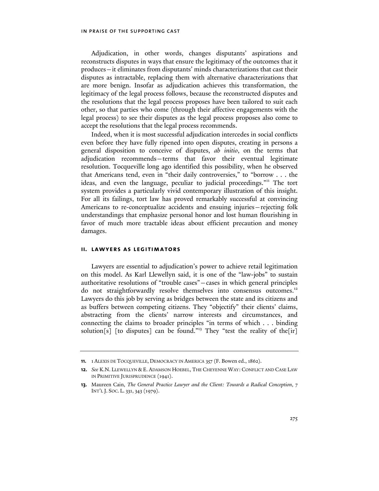Adjudication, in other words, changes disputants' aspirations and reconstructs disputes in ways that ensure the legitimacy of the outcomes that it produces—it eliminates from disputants' minds characterizations that cast their disputes as intractable, replacing them with alternative characterizations that are more benign. Insofar as adjudication achieves this transformation, the legitimacy of the legal process follows, because the reconstructed disputes and the resolutions that the legal process proposes have been tailored to suit each other, so that parties who come (through their affective engagements with the legal process) to see their disputes as the legal process proposes also come to accept the resolutions that the legal process recommends.

Indeed, when it is most successful adjudication intercedes in social conflicts even before they have fully ripened into open disputes, creating in persons a general disposition to conceive of disputes, ab initio, on the terms that adjudication recommends—terms that favor their eventual legitimate resolution. Tocqueville long ago identified this possibility, when he observed that Americans tend, even in "their daily controversies," to "borrow . . . the ideas, and even the language, peculiar to judicial proceedings."<sup>11</sup> The tort system provides a particularly vivid contemporary illustration of this insight. For all its failings, tort law has proved remarkably successful at convincing Americans to re-conceptualize accidents and ensuing injuries—rejecting folk understandings that emphasize personal honor and lost human flourishing in favor of much more tractable ideas about efficient precaution and money damages.

#### ii. lawyers as legitimators

Lawyers are essential to adjudication's power to achieve retail legitimation on this model. As Karl Llewellyn said, it is one of the "law-jobs" to sustain authoritative resolutions of "trouble cases"—cases in which general principles do not straightforwardly resolve themselves into consensus outcomes.<sup>12</sup> Lawyers do this job by serving as bridges between the state and its citizens and as buffers between competing citizens. They "objectify" their clients' claims, abstracting from the clients' narrow interests and circumstances, and connecting the claims to broader principles "in terms of which . . . binding solution[s] [to disputes] can be found."<sup>13</sup> They "test the reality of the[ir]

<sup>11.</sup> 1 ALEXIS DE TOCQUEVILLE, DEMOCRACY IN AMERICA 357 (F. Bowen ed., 1862).

<sup>12.</sup> See K.N. LLEWELLYN & E. ADAMSON HOEBEL, THE CHEYENNE WAY: CONFLICT AND CASE LAW IN PRIMITIVE JURISPRUDENCE (1941).

<sup>13.</sup> Maureen Cain, The General Practice Lawyer and the Client: Towards a Radical Conception, 7 INT'L J. SOC. L. 331, 343 (1979).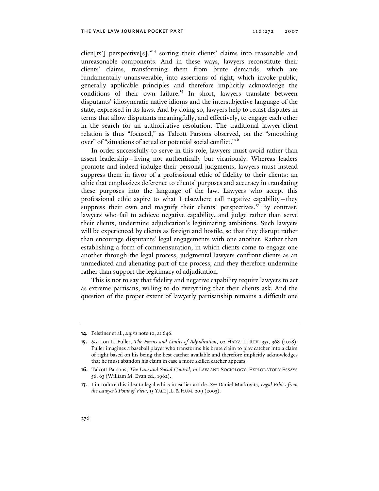clien[ts'] perspective[s],"<sup>14</sup> sorting their clients' claims into reasonable and unreasonable components. And in these ways, lawyers reconstitute their clients' claims, transforming them from brute demands, which are fundamentally unanswerable, into assertions of right, which invoke public, generally applicable principles and therefore implicitly acknowledge the conditions of their own failure.<sup>15</sup> In short, lawyers translate between disputants' idiosyncratic native idioms and the intersubjective language of the state, expressed in its laws. And by doing so, lawyers help to recast disputes in terms that allow disputants meaningfully, and effectively, to engage each other in the search for an authoritative resolution. The traditional lawyer-client relation is thus "focused," as Talcott Parsons observed, on the "smoothing over" of "situations of actual or potential social conflict."<sup>16</sup>

In order successfully to serve in this role, lawyers must avoid rather than assert leadership—living not authentically but vicariously. Whereas leaders promote and indeed indulge their personal judgments, lawyers must instead suppress them in favor of a professional ethic of fidelity to their clients: an ethic that emphasizes deference to clients' purposes and accuracy in translating these purposes into the language of the law. Lawyers who accept this professional ethic aspire to what I elsewhere call negative capability—they suppress their own and magnify their clients' perspectives.<sup>17</sup> By contrast, lawyers who fail to achieve negative capability, and judge rather than serve their clients, undermine adjudication's legitimating ambitions. Such lawyers will be experienced by clients as foreign and hostile, so that they disrupt rather than encourage disputants' legal engagements with one another. Rather than establishing a form of commensuration, in which clients come to engage one another through the legal process, judgmental lawyers confront clients as an unmediated and alienating part of the process, and they therefore undermine rather than support the legitimacy of adjudication.

This is not to say that fidelity and negative capability require lawyers to act as extreme partisans, willing to do everything that their clients ask. And the question of the proper extent of lawyerly partisanship remains a difficult one

<sup>14.</sup> Felstiner et al., *supra* note 10, at 646.

<sup>15.</sup> See Lon L. Fuller, The Forms and Limits of Adjudication, 92 HARV. L. REV. 353, 368 (1978). Fuller imagines a baseball player who transforms his brute claim to play catcher into a claim of right based on his being the best catcher available and therefore implicitly acknowledges that he must abandon his claim in case a more skilled catcher appears.

<sup>16.</sup> Talcott Parsons, The Law and Social Control, in LAW AND SOCIOLOGY: EXPLORATORY ESSAYS 56, 63 (William M. Evan ed., 1962).

<sup>17.</sup> I introduce this idea to legal ethics in earlier article. See Daniel Markovits, Legal Ethics from the Lawyer's Point of View, 15 YALE J.L. & HUM. 209 (2003).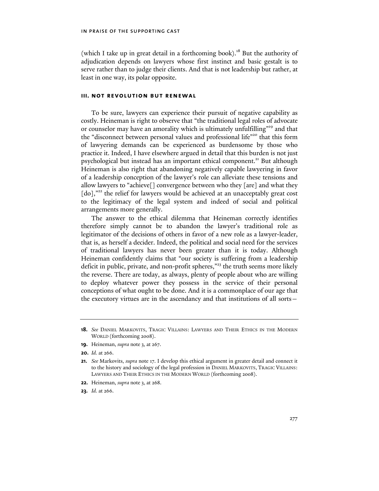(which I take up in great detail in a forthcoming book).<sup>18</sup> But the authority of adjudication depends on lawyers whose first instinct and basic gestalt is to serve rather than to judge their clients. And that is not leadership but rather, at least in one way, its polar opposite.

#### iii. not revolution but renewal

To be sure, lawyers can experience their pursuit of negative capability as costly. Heineman is right to observe that "the traditional legal roles of advocate or counselor may have an amorality which is ultimately unfulfilling"<sup>19</sup> and that the "disconnect between personal values and professional life"<sup>20</sup> that this form of lawyering demands can be experienced as burdensome by those who practice it. Indeed, I have elsewhere argued in detail that this burden is not just psychological but instead has an important ethical component.<sup>21</sup> But although Heineman is also right that abandoning negatively capable lawyering in favor of a leadership conception of the lawyer's role can alleviate these tensions and allow lawyers to "achieve[] convergence between who they [are] and what they [do],"<sup>22</sup> the relief for lawyers would be achieved at an unacceptably great cost to the legitimacy of the legal system and indeed of social and political arrangements more generally.

The answer to the ethical dilemma that Heineman correctly identifies therefore simply cannot be to abandon the lawyer's traditional role as legitimator of the decisions of others in favor of a new role as a lawyer-leader, that is, as herself a decider. Indeed, the political and social need for the services of traditional lawyers has never been greater than it is today. Although Heineman confidently claims that "our society is suffering from a leadership deficit in public, private, and non-profit spheres,"<sup>23</sup> the truth seems more likely the reverse. There are today, as always, plenty of people about who are willing to deploy whatever power they possess in the service of their personal conceptions of what ought to be done. And it is a commonplace of our age that the executory virtues are in the ascendancy and that institutions of all sorts—

- 19. Heineman, supra note 3, at 267.
- 20. Id. at 266.

- 22. Heineman, *supra* note 3, at 268.
- **23.** *Id.* at 266.

<sup>18.</sup> See DANIEL MARKOVITS, TRAGIC VILLAINS: LAWYERS AND THEIR ETHICS IN THE MODERN WORLD (forthcoming 2008).

<sup>21.</sup> See Markovits, supra note 17. I develop this ethical argument in greater detail and connect it to the history and sociology of the legal profession in DANIEL MARKOVITS, TRAGIC VILLAINS: LAWYERS AND THEIR ETHICS IN THE MODERN WORLD (forthcoming 2008).